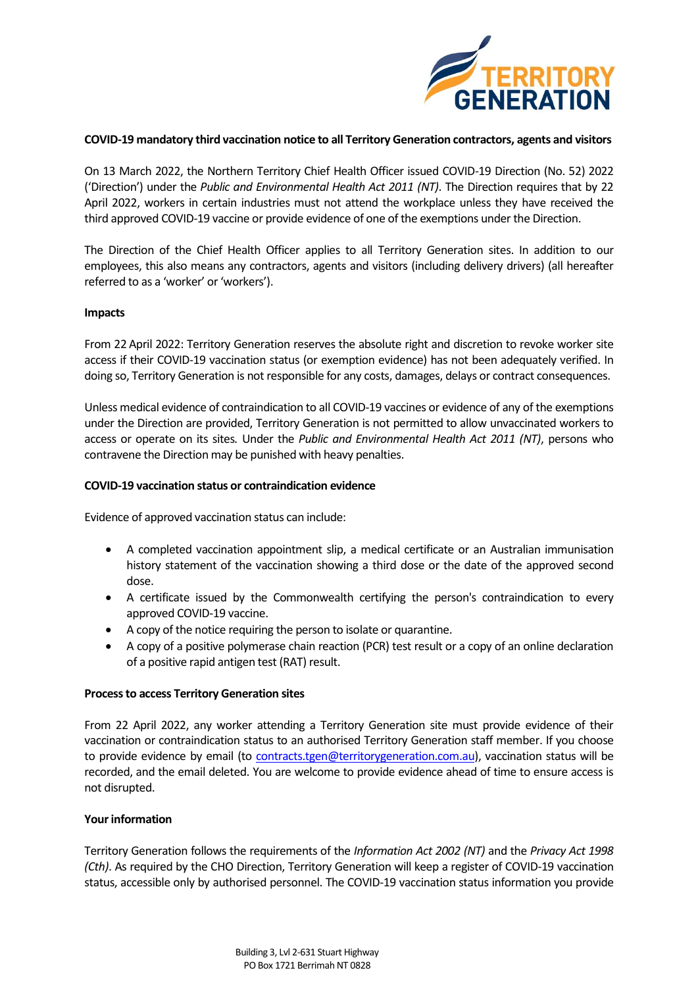

## **COVID-19 mandatory third vaccination notice to all Territory Generation contractors, agents and visitors**

On 13 March 2022, the Northern Territory Chief Health Officer issued COVID-19 Direction (No. 52) 2022 ('Direction') under the *Public and Environmental Health Act 2011 (NT)*. The Direction requires that by 22 April 2022, workers in certain industries must not attend the workplace unless they have received the third approved COVID-19 vaccine or provide evidence of one of the exemptions under the Direction.

The Direction of the Chief Health Officer applies to all Territory Generation sites. In addition to our employees, this also means any contractors, agents and visitors (including delivery drivers) (all hereafter referred to as a 'worker' or 'workers').

### **Impacts**

From 22 April 2022: Territory Generation reserves the absolute right and discretion to revoke worker site access if their COVID-19 vaccination status (or exemption evidence) has not been adequately verified. In doing so, Territory Generation is not responsible for any costs, damages, delays or contract consequences.

Unless medical evidence of contraindication to all COVID-19 vaccines or evidence of any of the exemptions under the Direction are provided, Territory Generation is not permitted to allow unvaccinated workers to access or operate on its sites*.* Under the *Public and Environmental Health Act 2011 (NT)*, persons who contravene the Direction may be punished with heavy penalties.

### **COVID-19 vaccination status or contraindication evidence**

Evidence of approved vaccination status can include:

- A completed vaccination appointment slip, a medical certificate or an Australian immunisation history statement of the vaccination showing a third dose or the date of the approved second dose.
- A certificate issued by the Commonwealth certifying the person's contraindication to every approved COVID-19 vaccine.
- A copy of the notice requiring the person to isolate or quarantine.
- A copy of a positive polymerase chain reaction (PCR) test result or a copy of an online declaration of a positive rapid antigen test (RAT) result.

# **Process to access Territory Generation sites**

From 22 April 2022, any worker attending a Territory Generation site must provide evidence of their vaccination or contraindication status to an authorised Territory Generation staff member. If you choose to provide evidence by email (to [contracts.tgen@territorygeneration.com.au\)](mailto:contracts.tgen@territorygeneration.com.au), vaccination status will be recorded, and the email deleted. You are welcome to provide evidence ahead of time to ensure access is not disrupted.

# **Your information**

Territory Generation follows the requirements of the *Information Act 2002 (NT)* and the *Privacy Act 1998 (Cth)*. As required by the CHO Direction, Territory Generation will keep a register of COVID-19 vaccination status, accessible only by authorised personnel. The COVID-19 vaccination status information you provide